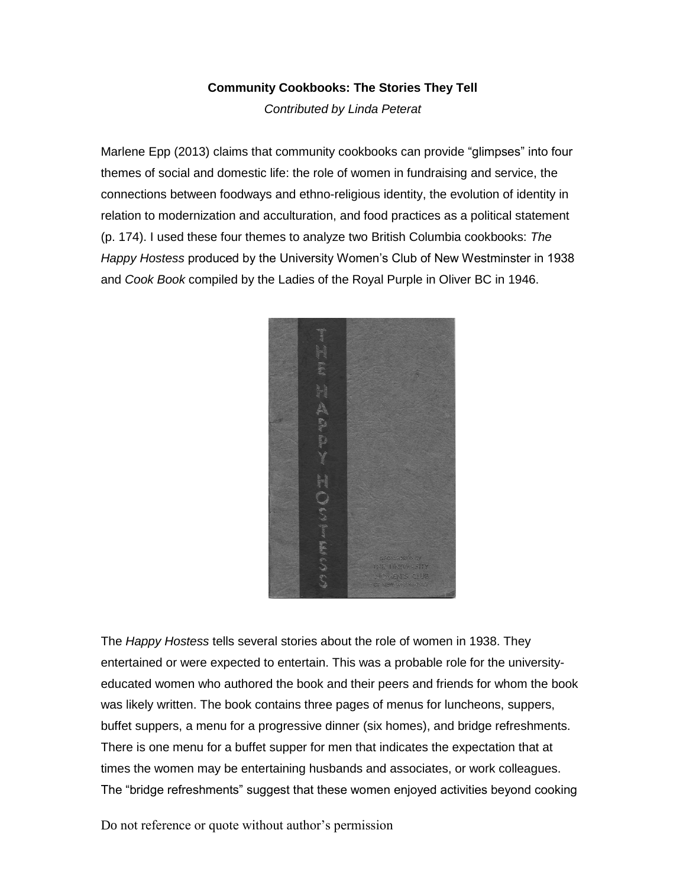## **Community Cookbooks: The Stories They Tell**

*Contributed by Linda Peterat*

Marlene Epp (2013) claims that community cookbooks can provide "glimpses" into four themes of social and domestic life: the role of women in fundraising and service, the connections between foodways and ethno-religious identity, the evolution of identity in relation to modernization and acculturation, and food practices as a political statement (p. 174). I used these four themes to analyze two British Columbia cookbooks: *The Happy Hostess* produced by the University Women's Club of New Westminster in 1938 and *Cook Book* compiled by the Ladies of the Royal Purple in Oliver BC in 1946.



The *Happy Hostess* tells several stories about the role of women in 1938. They entertained or were expected to entertain. This was a probable role for the universityeducated women who authored the book and their peers and friends for whom the book was likely written. The book contains three pages of menus for luncheons, suppers, buffet suppers, a menu for a progressive dinner (six homes), and bridge refreshments. There is one menu for a buffet supper for men that indicates the expectation that at times the women may be entertaining husbands and associates, or work colleagues. The "bridge refreshments" suggest that these women enjoyed activities beyond cooking

Do not reference or quote without author's permission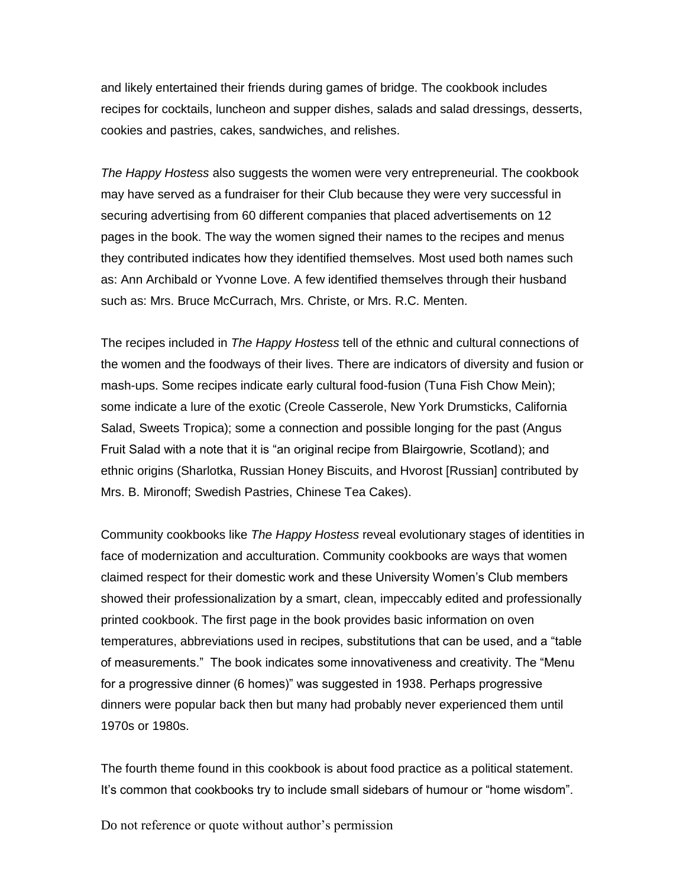and likely entertained their friends during games of bridge. The cookbook includes recipes for cocktails, luncheon and supper dishes, salads and salad dressings, desserts, cookies and pastries, cakes, sandwiches, and relishes.

*The Happy Hostess* also suggests the women were very entrepreneurial. The cookbook may have served as a fundraiser for their Club because they were very successful in securing advertising from 60 different companies that placed advertisements on 12 pages in the book. The way the women signed their names to the recipes and menus they contributed indicates how they identified themselves. Most used both names such as: Ann Archibald or Yvonne Love. A few identified themselves through their husband such as: Mrs. Bruce McCurrach, Mrs. Christe, or Mrs. R.C. Menten.

The recipes included in *The Happy Hostess* tell of the ethnic and cultural connections of the women and the foodways of their lives. There are indicators of diversity and fusion or mash-ups. Some recipes indicate early cultural food-fusion (Tuna Fish Chow Mein); some indicate a lure of the exotic (Creole Casserole, New York Drumsticks, California Salad, Sweets Tropica); some a connection and possible longing for the past (Angus Fruit Salad with a note that it is "an original recipe from Blairgowrie, Scotland); and ethnic origins (Sharlotka, Russian Honey Biscuits, and Hvorost [Russian] contributed by Mrs. B. Mironoff; Swedish Pastries, Chinese Tea Cakes).

Community cookbooks like *The Happy Hostess* reveal evolutionary stages of identities in face of modernization and acculturation. Community cookbooks are ways that women claimed respect for their domestic work and these University Women's Club members showed their professionalization by a smart, clean, impeccably edited and professionally printed cookbook. The first page in the book provides basic information on oven temperatures, abbreviations used in recipes, substitutions that can be used, and a "table of measurements." The book indicates some innovativeness and creativity. The "Menu for a progressive dinner (6 homes)" was suggested in 1938. Perhaps progressive dinners were popular back then but many had probably never experienced them until 1970s or 1980s.

The fourth theme found in this cookbook is about food practice as a political statement. It's common that cookbooks try to include small sidebars of humour or "home wisdom".

Do not reference or quote without author's permission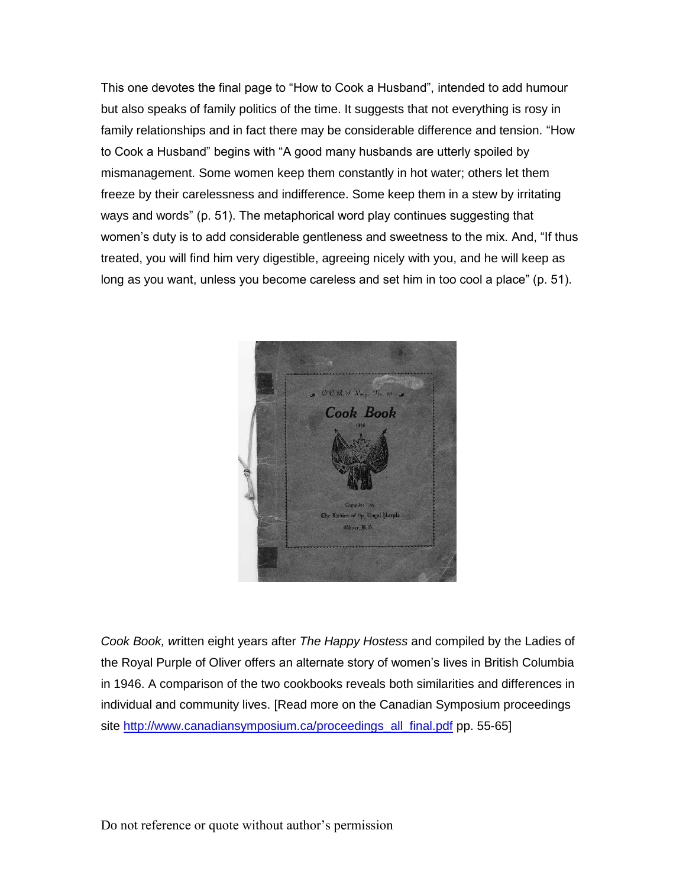This one devotes the final page to "How to Cook a Husband", intended to add humour but also speaks of family politics of the time. It suggests that not everything is rosy in family relationships and in fact there may be considerable difference and tension. "How to Cook a Husband" begins with "A good many husbands are utterly spoiled by mismanagement. Some women keep them constantly in hot water; others let them freeze by their carelessness and indifference. Some keep them in a stew by irritating ways and words" (p. 51). The metaphorical word play continues suggesting that women's duty is to add considerable gentleness and sweetness to the mix. And, "If thus treated, you will find him very digestible, agreeing nicely with you, and he will keep as long as you want, unless you become careless and set him in too cool a place" (p. 51).



*Cook Book, w*ritten eight years after *The Happy Hostess* and compiled by the Ladies of the Royal Purple of Oliver offers an alternate story of women's lives in British Columbia in 1946. A comparison of the two cookbooks reveals both similarities and differences in individual and community lives. [Read more on the Canadian Symposium proceedings site [http://www.canadiansymposium.ca/proceedings\\_all\\_final.pdf](http://www.canadiansymposium.ca/proceedings_all_final.pdf) pp. 55-65]

Do not reference or quote without author's permission